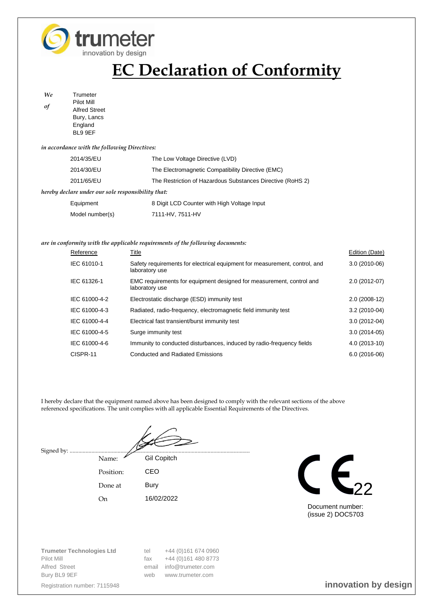

# **EC Declaration of Conformity**

*We* Trumeter *of* Pilot Mill Alfred Street Bury, Lancs **England** BL9 9EF

### *in accordance with the following Directives:*

| 2014/35/EU                                         | The Low Voltage Directive (LVD)                            |  |  |  |  |
|----------------------------------------------------|------------------------------------------------------------|--|--|--|--|
| 2014/30/EU                                         | The Electromagnetic Compatibility Directive (EMC)          |  |  |  |  |
| 2011/65/EU                                         | The Restriction of Hazardous Substances Directive (RoHS 2) |  |  |  |  |
| hereby declare under our sole responsibility that: |                                                            |  |  |  |  |
| Equipment                                          | 8 Digit LCD Counter with High Voltage Input                |  |  |  |  |
| Model number(s)                                    | 7111-HV, 7511-HV                                           |  |  |  |  |

### *are in conformity with the applicable requirements of the following documents:*

| Reference     | Title                                                                                        | Edition (Date) |
|---------------|----------------------------------------------------------------------------------------------|----------------|
| IEC 61010-1   | Safety requirements for electrical equipment for measurement, control, and<br>laboratory use | $3.0(2010-06)$ |
| IEC 61326-1   | EMC requirements for equipment designed for measurement, control and<br>laboratory use       | 2.0 (2012-07)  |
| IEC 61000-4-2 | Electrostatic discharge (ESD) immunity test                                                  | $2.0(2008-12)$ |
| IEC 61000-4-3 | Radiated, radio-frequency, electromagnetic field immunity test                               | $3.2(2010-04)$ |
| IEC 61000-4-4 | Electrical fast transient/burst immunity test                                                | $3.0(2012-04)$ |
| IEC 61000-4-5 | Surge immunity test                                                                          | $3.0(2014-05)$ |
| IEC 61000-4-6 | Immunity to conducted disturbances, induced by radio-frequency fields                        | 4.0 (2013-10)  |
| CISPR-11      | <b>Conducted and Radiated Emissions</b>                                                      | $6.0(2016-06)$ |

I hereby declare that the equipment named above has been designed to comply with the relevant sections of the above referenced specifications. The unit complies with all applicable Essential Requirements of the Directives.

Signed by: ....

Name: Gil Copitch Position: CEO Done at Bury

On 16/02/2022



Document number: (issue 2) DOC5703

**Trumeter Technologies Ltd** tel +44 (0)161 674 0960 Pilot Mill **Filot Mill** fax  $+44$  (0)161 480 8773 Alfred Street email info@trumeter.com Bury BL9 9EF www.trumeter.com

Registration number: 7115948 **innovation by design**